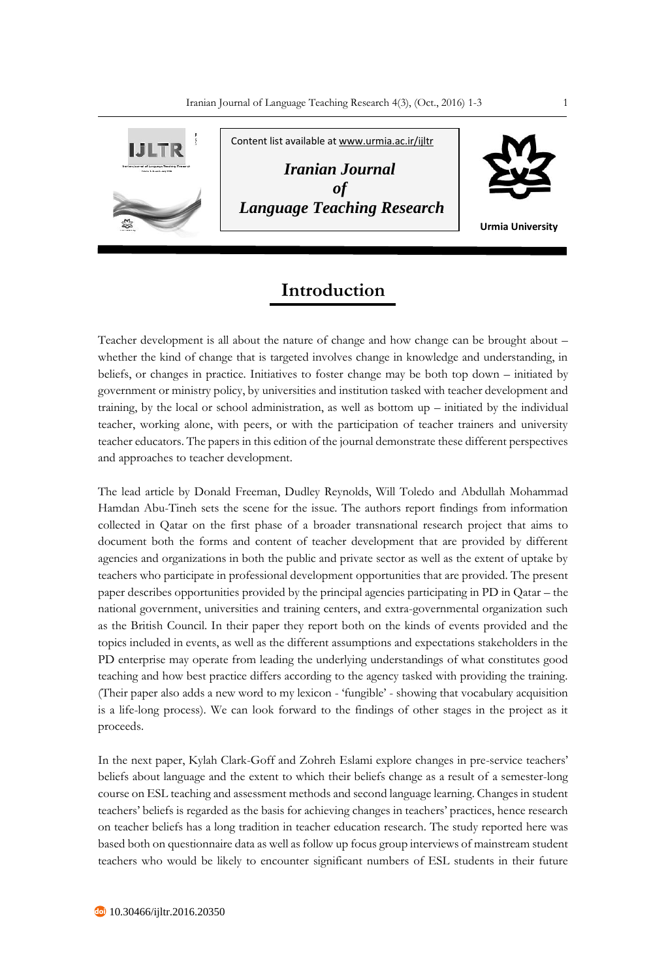

## **Introduction**

Teacher development is all about the nature of change and how change can be brought about – whether the kind of change that is targeted involves change in knowledge and understanding, in beliefs, or changes in practice. Initiatives to foster change may be both top down – initiated by government or ministry policy, by universities and institution tasked with teacher development and training, by the local or school administration, as well as bottom up – initiated by the individual teacher, working alone, with peers, or with the participation of teacher trainers and university teacher educators. The papers in this edition of the journal demonstrate these different perspectives and approaches to teacher development.

The lead article by Donald Freeman, Dudley Reynolds, Will Toledo and Abdullah Mohammad Hamdan Abu-Tineh sets the scene for the issue. The authors report findings from information collected in Qatar on the first phase of a broader transnational research project that aims to document both the forms and content of teacher development that are provided by different agencies and organizations in both the public and private sector as well as the extent of uptake by teachers who participate in professional development opportunities that are provided. The present paper describes opportunities provided by the principal agencies participating in PD in Qatar – the national government, universities and training centers, and extra-governmental organization such as the British Council. In their paper they report both on the kinds of events provided and the topics included in events, as well as the different assumptions and expectations stakeholders in the PD enterprise may operate from leading the underlying understandings of what constitutes good teaching and how best practice differs according to the agency tasked with providing the training. (Their paper also adds a new word to my lexicon - 'fungible' - showing that vocabulary acquisition is a life-long process). We can look forward to the findings of other stages in the project as it proceeds.

In the next paper, Kylah Clark-Goff and Zohreh Eslami explore changes in pre-service teachers' beliefs about language and the extent to which their beliefs change as a result of a semester-long course on ESL teaching and assessment methods and second language learning. Changes in student teachers' beliefs is regarded as the basis for achieving changes in teachers' practices, hence research on teacher beliefs has a long tradition in teacher education research. The study reported here was based both on questionnaire data as well as follow up focus group interviews of mainstream student teachers who would be likely to encounter significant numbers of ESL students in their future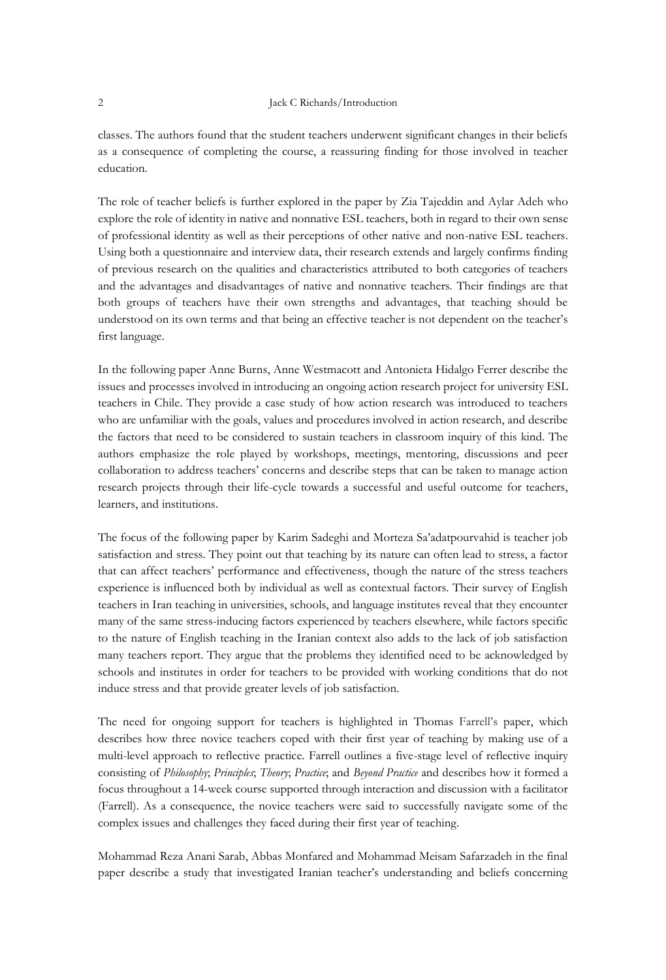## 2 Jack C Richards/Introduction

classes. The authors found that the student teachers underwent significant changes in their beliefs as a consequence of completing the course, a reassuring finding for those involved in teacher education.

The role of teacher beliefs is further explored in the paper by Zia Tajeddin and Aylar Adeh who explore the role of identity in native and nonnative ESL teachers, both in regard to their own sense of professional identity as well as their perceptions of other native and non-native ESL teachers. Using both a questionnaire and interview data, their research extends and largely confirms finding of previous research on the qualities and characteristics attributed to both categories of teachers and the advantages and disadvantages of native and nonnative teachers. Their findings are that both groups of teachers have their own strengths and advantages, that teaching should be understood on its own terms and that being an effective teacher is not dependent on the teacher's first language.

In the following paper Anne Burns, Anne Westmacott and Antonieta Hidalgo Ferrer describe the issues and processes involved in introducing an ongoing action research project for university ESL teachers in Chile. They provide a case study of how action research was introduced to teachers who are unfamiliar with the goals, values and procedures involved in action research, and describe the factors that need to be considered to sustain teachers in classroom inquiry of this kind. The authors emphasize the role played by workshops, meetings, mentoring, discussions and peer collaboration to address teachers' concerns and describe steps that can be taken to manage action research projects through their life-cycle towards a successful and useful outcome for teachers, learners, and institutions.

The focus of the following paper by Karim Sadeghi and Morteza Sa'adatpourvahid is teacher job satisfaction and stress. They point out that teaching by its nature can often lead to stress, a factor that can affect teachers' performance and effectiveness, though the nature of the stress teachers experience is influenced both by individual as well as contextual factors. Their survey of English teachers in Iran teaching in universities, schools, and language institutes reveal that they encounter many of the same stress-inducing factors experienced by teachers elsewhere, while factors specific to the nature of English teaching in the Iranian context also adds to the lack of job satisfaction many teachers report. They argue that the problems they identified need to be acknowledged by schools and institutes in order for teachers to be provided with working conditions that do not induce stress and that provide greater levels of job satisfaction.

The need for ongoing support for teachers is highlighted in Thomas Farrell's paper, which describes how three novice teachers coped with their first year of teaching by making use of a multi-level approach to reflective practice. Farrell outlines a five-stage level of reflective inquiry consisting of *Philosophy*; *Principles*; *Theory*; *Practice*; and *Beyond Practice* and describes how it formed a focus throughout a 14-week course supported through interaction and discussion with a facilitator (Farrell). As a consequence, the novice teachers were said to successfully navigate some of the complex issues and challenges they faced during their first year of teaching.

Mohammad Reza Anani Sarab, Abbas Monfared and Mohammad Meisam Safarzadeh in the final paper describe a study that investigated Iranian teacher's understanding and beliefs concerning